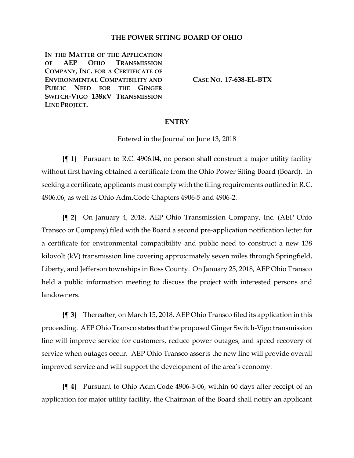## **THE POWER SITING BOARD OF OHIO**

**IN THE MATTER OF THE APPLICATION OF AEP OHIO TRANSMISSION COMPANY, INC. FOR A CERTIFICATE OF ENVIRONMENTAL COMPATIBILITY AND PUBLIC NEED FOR THE GINGER SWITCH-VIGO 138KV TRANSMISSION LINE PROJECT.**

**CASE NO. 17-638-EL-BTX**

## **ENTRY**

Entered in the Journal on June 13, 2018

**{¶ 1}** Pursuant to R.C. 4906.04, no person shall construct a major utility facility without first having obtained a certificate from the Ohio Power Siting Board (Board). In seeking a certificate, applicants must comply with the filing requirements outlined in R.C. 4906.06, as well as Ohio Adm.Code Chapters 4906-5 and 4906-2.

**{¶ 2}** On January 4, 2018, AEP Ohio Transmission Company, Inc. (AEP Ohio Transco or Company) filed with the Board a second pre-application notification letter for a certificate for environmental compatibility and public need to construct a new 138 kilovolt (kV) transmission line covering approximately seven miles through Springfield, Liberty, and Jefferson townships in Ross County. On January 25, 2018, AEP Ohio Transco held a public information meeting to discuss the project with interested persons and landowners.

**{¶ 3}** Thereafter, on March 15, 2018, AEP Ohio Transco filed its application in this proceeding. AEP Ohio Transco states that the proposed Ginger Switch-Vigo transmission line will improve service for customers, reduce power outages, and speed recovery of service when outages occur. AEP Ohio Transco asserts the new line will provide overall improved service and will support the development of the area's economy.

**{¶ 4}** Pursuant to Ohio Adm.Code 4906-3-06, within 60 days after receipt of an application for major utility facility, the Chairman of the Board shall notify an applicant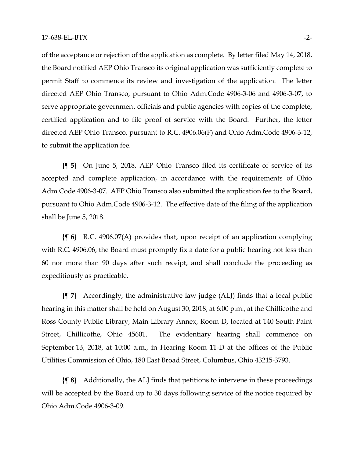of the acceptance or rejection of the application as complete. By letter filed May 14, 2018, the Board notified AEP Ohio Transco its original application was sufficiently complete to permit Staff to commence its review and investigation of the application. The letter directed AEP Ohio Transco, pursuant to Ohio Adm.Code 4906-3-06 and 4906-3-07, to serve appropriate government officials and public agencies with copies of the complete, certified application and to file proof of service with the Board. Further, the letter directed AEP Ohio Transco, pursuant to R.C. 4906.06(F) and Ohio Adm.Code 4906-3-12, to submit the application fee.

**{¶ 5}** On June 5, 2018, AEP Ohio Transco filed its certificate of service of its accepted and complete application, in accordance with the requirements of Ohio Adm.Code 4906-3-07. AEP Ohio Transco also submitted the application fee to the Board, pursuant to Ohio Adm.Code 4906-3-12. The effective date of the filing of the application shall be June 5, 2018.

**{¶ 6}** R.C. 4906.07(A) provides that, upon receipt of an application complying with R.C. 4906.06, the Board must promptly fix a date for a public hearing not less than 60 nor more than 90 days after such receipt, and shall conclude the proceeding as expeditiously as practicable.

**{¶ 7}** Accordingly, the administrative law judge (ALJ) finds that a local public hearing in this matter shall be held on August 30, 2018, at 6:00 p.m., at the Chillicothe and Ross County Public Library, Main Library Annex, Room D, located at 140 South Paint Street, Chillicothe, Ohio 45601. The evidentiary hearing shall commence on September 13, 2018, at 10:00 a.m., in Hearing Room 11-D at the offices of the Public Utilities Commission of Ohio, 180 East Broad Street, Columbus, Ohio 43215-3793.

**{¶ 8}** Additionally, the ALJ finds that petitions to intervene in these proceedings will be accepted by the Board up to 30 days following service of the notice required by Ohio Adm.Code 4906-3-09.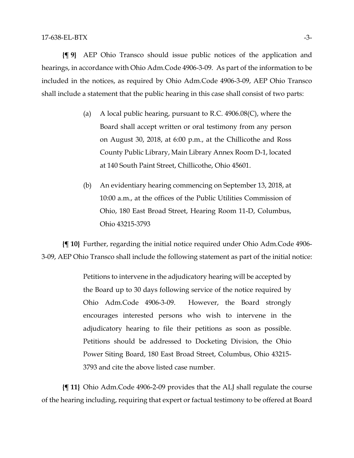**{¶ 9}** AEP Ohio Transco should issue public notices of the application and hearings, in accordance with Ohio Adm.Code 4906-3-09. As part of the information to be included in the notices, as required by Ohio Adm.Code 4906-3-09, AEP Ohio Transco shall include a statement that the public hearing in this case shall consist of two parts:

- (a) A local public hearing, pursuant to R.C.  $4906.08(C)$ , where the Board shall accept written or oral testimony from any person on August 30, 2018, at 6:00 p.m., at the Chillicothe and Ross County Public Library, Main Library Annex Room D-1, located at 140 South Paint Street, Chillicothe, Ohio 45601.
- (b) An evidentiary hearing commencing on September 13, 2018, at 10:00 a.m., at the offices of the Public Utilities Commission of Ohio, 180 East Broad Street, Hearing Room 11-D, Columbus, Ohio 43215-3793

**{¶ 10}** Further, regarding the initial notice required under Ohio Adm.Code 4906- 3-09, AEP Ohio Transco shall include the following statement as part of the initial notice:

> Petitions to intervene in the adjudicatory hearing will be accepted by the Board up to 30 days following service of the notice required by Ohio Adm.Code 4906-3-09. However, the Board strongly encourages interested persons who wish to intervene in the adjudicatory hearing to file their petitions as soon as possible. Petitions should be addressed to Docketing Division, the Ohio Power Siting Board, 180 East Broad Street, Columbus, Ohio 43215- 3793 and cite the above listed case number.

**{¶ 11}** Ohio Adm.Code 4906-2-09 provides that the ALJ shall regulate the course of the hearing including, requiring that expert or factual testimony to be offered at Board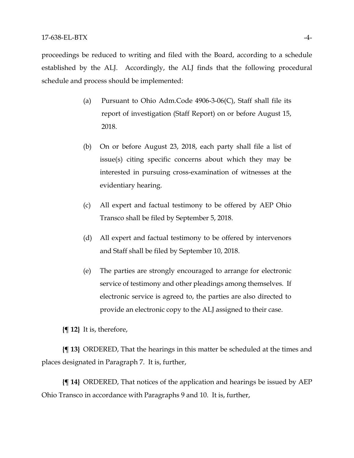proceedings be reduced to writing and filed with the Board, according to a schedule established by the ALJ. Accordingly, the ALJ finds that the following procedural schedule and process should be implemented:

- (a) Pursuant to Ohio Adm.Code 4906-3-06(C), Staff shall file its report of investigation (Staff Report) on or before August 15, 2018.
- (b) On or before August 23, 2018, each party shall file a list of issue(s) citing specific concerns about which they may be interested in pursuing cross-examination of witnesses at the evidentiary hearing.
- (c) All expert and factual testimony to be offered by AEP Ohio Transco shall be filed by September 5, 2018.
- (d) All expert and factual testimony to be offered by intervenors and Staff shall be filed by September 10, 2018.
- (e) The parties are strongly encouraged to arrange for electronic service of testimony and other pleadings among themselves. If electronic service is agreed to, the parties are also directed to provide an electronic copy to the ALJ assigned to their case.

**{¶ 12}** It is, therefore,

**{¶ 13}** ORDERED, That the hearings in this matter be scheduled at the times and places designated in Paragraph 7. It is, further,

**{¶ 14}** ORDERED, That notices of the application and hearings be issued by AEP Ohio Transco in accordance with Paragraphs 9 and 10. It is, further,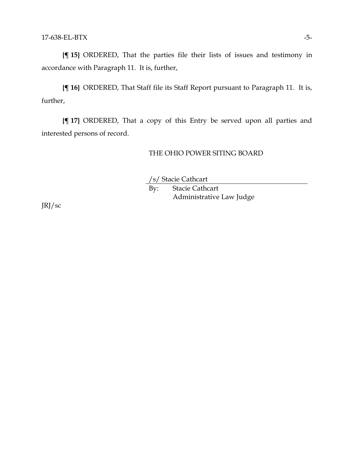**{¶ 15}** ORDERED, That the parties file their lists of issues and testimony in accordance with Paragraph 11. It is, further,

**{¶ 16}** ORDERED, That Staff file its Staff Report pursuant to Paragraph 11. It is, further,

**{¶ 17}** ORDERED, That a copy of this Entry be served upon all parties and interested persons of record.

## THE OHIO POWER SITING BOARD

/s/ Stacie Cathcart

By: Stacie Cathcart Administrative Law Judge

JRJ/sc